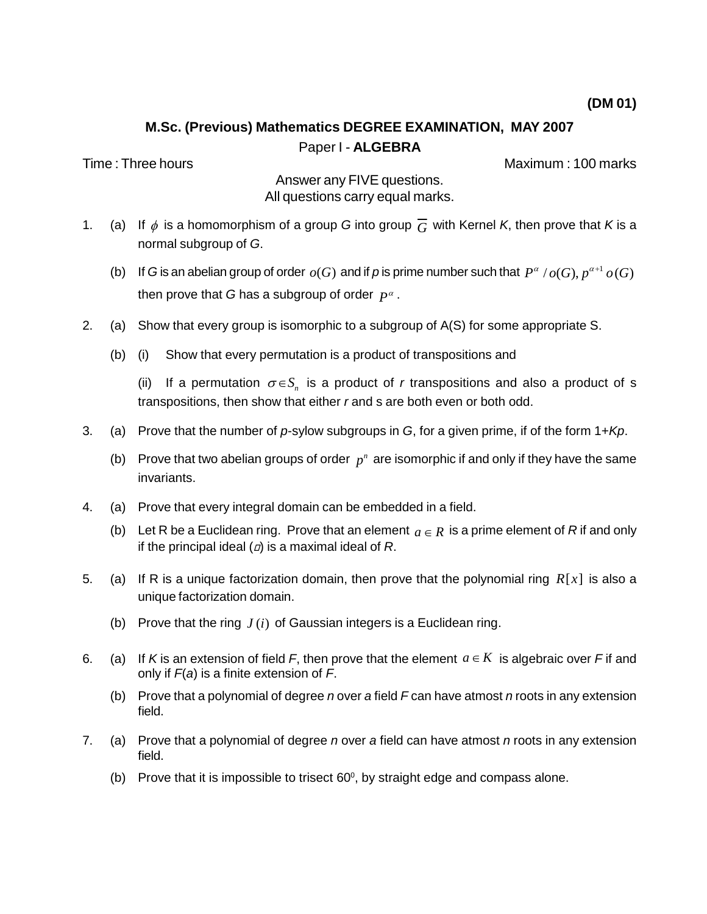# **M.Sc. (Previous) Mathematics DEGREE EXAMINATION, MAY 2007** Paper I - **ALGEBRA**

Time : Three hours Maximum : 100 marks

Answer any FIVE questions. All questions carry equal marks.

- 1. (a) If  $\phi$  is a homomorphism of a group G into group  $\overline{G}$  with Kernel K, then prove that K is a normal subgroup of G.
	- (b) If G is an abelian group of order  $o(G)$  and if p is prime number such that  $P^{\alpha}/o(G)$ ,  $p^{\alpha+1} o(G)$ then prove that *G* has a subgroup of order  $\,P^{\alpha}$  .
- 2. (a) Show that every group is isomorphic to a subgroup of A(S) for some appropriate S.
	- (b) (i) Show that every permutation is a product of transpositions and

(ii) If a permutation  $\sigma \in S_n$  is a product of r transpositions and also a product of s transpositions, then show that either r and s are both even or both odd.

- 3. (a) Prove that the number of p-sylow subgroups in G, for a given prime, if of the form  $1 + Kp$ .
	- (b) Prove that two abelian groups of order  $p^n$  are isomorphic if and only if they have the same invariants.
- 4. (a) Prove that every integral domain can be embedded in a field.
	- (b) Let R be a Euclidean ring. Prove that an element  $a \in R$  is a prime element of R if and only if the principal ideal ( $a$ ) is a maximal ideal of R.
- 5. (a) If R is a unique factorization domain, then prove that the polynomial ring  $R[x]$  is also a unique factorization domain.
	- (b) Prove that the ring *J* (*i*) of Gaussian integers is a Euclidean ring.
- 6. (a) If K is an extension of field F, then prove that the element  $a \in K$  is algebraic over F if and only if  $F(a)$  is a finite extension of F.
	- (b) Prove that a polynomial of degree n over a field  $F$  can have atmost n roots in any extension field.
- 7. (a) Prove that a polynomial of degree n over a field can have atmost n roots in any extension field.
	- (b) Prove that it is impossible to trisect  $60^{\circ}$ , by straight edge and compass alone.

**(DM 01)**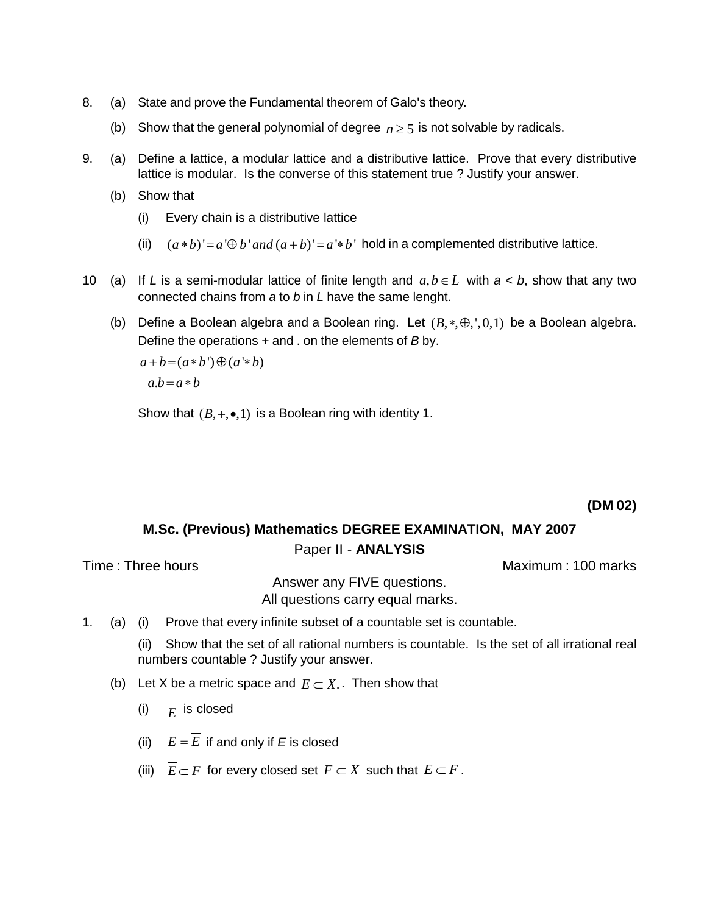- 8. (a) State and prove the Fundamental theorem of Galo's theory.
	- (b) Show that the general polynomial of degree  $n \geq 5$  is not solvable by radicals.
- 9. (a) Define a lattice, a modular lattice and a distributive lattice. Prove that every distributive lattice is modular. Is the converse of this statement true ? Justify your answer.
	- (b) Show that
		- (i) Every chain is a distributive lattice
		- (ii)  $(a * b)' = a' \oplus b'$  *and*  $(a + b)' = a' * b'$  hold in a complemented distributive lattice.
- 10 (a) If L is a semi-modular lattice of finite length and  $a, b \in L$  with  $a < b$ , show that any two connected chains from a to b in L have the same lenght. connected chains from a to b in L have the same lenght.<br>(b) Define a Boolean algebra and a Boolean ring. Let  $(B,*,\oplus,',0,1)$  be a Boolean algebra.
	- Define the operations + and . on the elements of B by. e a Boolean algebra and<br>  $= (a * b') \oplus (a * b)$

```
a+b=(a*b')\oplus (a'*b)<br>a.b=a*ba.b = a * b
```
Show that  $(B, +, \bullet, 1)$  is a Boolean ring with identity 1.

### **(DM 02)**

### **M.Sc. (Previous) Mathematics DEGREE EXAMINATION, MAY 2007**

### Paper II - **ANALYSIS**

Time : Three hours and the matter of the matter of the Maximum : 100 marks

Answer any FIVE questions. All questions carry equal marks.

1. (a) (i) Prove that every infinite subset of a countable set is countable.

(ii) Show that the set of all rational numbers is countable. Is the set of all irrational real numbers countable ? Justify your answer.

- (b) Let X be a metric space and  $E \subset X$ . Then show that
	- (i)  $\overline{F}$  is closed
	- (ii)  $E = \overline{E}$  if and only if E is closed
	- (iii)  $\overline{E} \subset F$  for every closed set  $F \subset X$  such that  $E \subset F$ .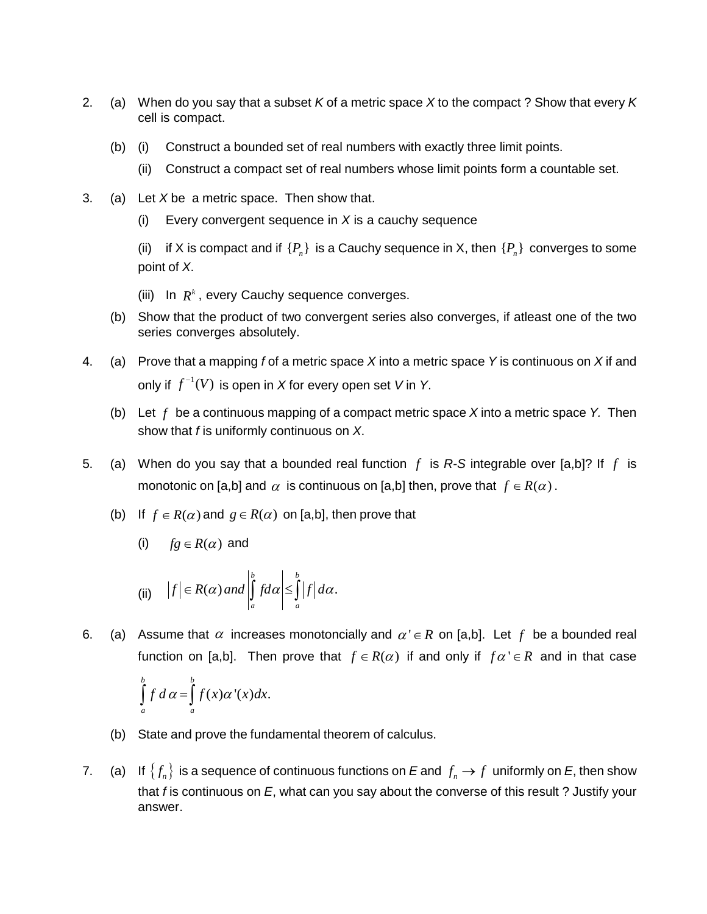- 2. (a) When do you say that a subset K of a metric space X to the compact ? Show that every K cell is compact.
	- (b) (i) Construct a bounded set of real numbers with exactly three limit points.
		- (ii) Construct a compact set of real numbers whose limit points form a countable set.
- 3. (a) Let  $X$  be a metric space. Then show that.
	- (i) Every convergent sequence in  $X$  is a cauchy sequence

(ii) if X is compact and if  $\{P_n\}$  is a Cauchy sequence in X, then  $\{P_n\}$  converges to some point of X.

(iii) In  $R^k$ , every Cauchy sequence converges.

- (b) Show that the product of two convergent series also converges, if atleast one of the two series converges absolutely.
- 4. (a) Prove that a mapping f of a metric space X into a metric space Y is continuous on X if and only if  $\,f^{-1}(V)$  is open in  $X$  for every open set  $\,$  V in  $\,$  Y.
	- (b) Let  $f$  be a continuous mapping of a compact metric space  $X$  into a metric space Y. Then show that  $f$  is uniformly continuous on  $X$ .
- 5. (a) When do you say that a bounded real function *f* is R-S integrable over [a,b]? If *f* is When do you say that a bounded real function  $f$  is R-S integrable over [a,b]?<br>monotonic on [a,b] and  $\alpha$  is continuous on [a,b] then, prove that  $f \in R(\alpha)$  . monotonic on [a,b] and  $\alpha$  is continuous on [a,b] then, prove that  $f \in R(\alpha)$ .
	- (b) If  $f \in R(\alpha)$  and  $g \in R(\alpha)$  on [a,b], then prove that

(i) 
$$
fg \in R(\alpha)
$$
 and

(i) 
$$
fg \in R(\alpha)
$$
 and  
\n(ii)  $|f| \in R(\alpha)$  and  $\left| \int_a^b f d\alpha \right| \le \int_a^b |f| d\alpha$ .

6. (a) Assume that  $\alpha$  increases monotoncially and  $\alpha' \in R$  on [a,b]. Let  $f$  be a bounded real Assume that  $\alpha$  increases monotoncially and  $\alpha' \in R$  on [a,b]. Let  $f$  be a bounded real<br>function on [a,b]. Then prove that  $f \in R(\alpha)$  if and only if  $f \alpha' \in R$  and in that case

Assume that a increases from  
function on [a,b]. Then prove  

$$
\int_a^b f \, d\alpha = \int_a^b f(x) \alpha'(x) dx.
$$

- (b) State and prove the fundamental theorem of calculus.
- (b) State and prove the fundamental theorem of calculus.<br>7. (a) If  $\{f_n\}$  is a sequence of continuous functions on  $E$  and  $f_n \to f$  uniformly on  $E$ , then show that f is continuous on  $E$ , what can you say about the converse of this result ? Justify your answer.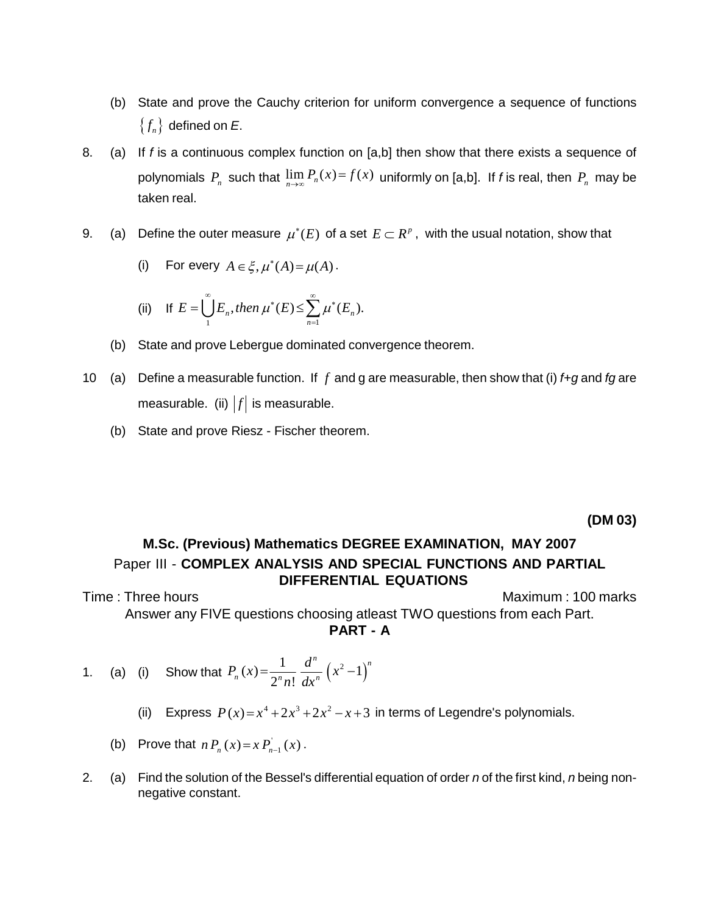- (b) State and prove the Cauchy criterion for uniform convergence a sequence of functions State and prove the Cau  $\{f_n\}$  defined on *E*.
- 8. (a) If f is a continuous complex function on [a,b] then show that there exists a sequence of If *f* is a continuous complex function on [a,b] then show that there exists a sequence of polynomials  $P_n$  such that  $\lim_{n\to\infty} P_n(x) = f(x)$  uniformly on [a,b]. If *f* is real, then  $P_n$  may be taken real.
- taken real.<br>9. (a) Define the outer measure  $\mu^*(E)$  of a set  $E\subset R^{\it p}$  , with the usual notation, show that measure  $\mu^*(E)$  of a set<br> $\in \xi, \mu^*(A) = \mu(A)$ .

(i) For every 
$$
A \in \xi
$$
,  $\mu^*(A) = \mu(A)$ .

(i) For every 
$$
A \in \xi
$$
,  $\mu^*(A) = \mu(A)$ .  
\n(ii) If  $E = \bigcup_{n=1}^{\infty} E_n$ , then  $\mu^*(E) \le \sum_{n=1}^{\infty} \mu^*(E_n)$ .

- (b) State and prove Lebergue dominated convergence theorem.
- 10 (a) Define a measurable function. If *f* and g are measurable, then show that (i) f+g and fg are measurable. (ii)  $|f|$  is measurable.
	- (b) State and prove Riesz Fischer theorem.

**(DM 03)**

## **M.Sc. (Previous) Mathematics DEGREE EXAMINATION, MAY 2007** Paper III - **COMPLEX ANALYSIS AND SPECIAL FUNCTIONS AND PARTIAL DIFFERENTIAL EQUATIONS**

Time : Three hours **Maximum : 100 marks** Maximum : 100 marks Answer any FIVE questions choosing atleast TWO questions from each Part. **PART - A**

- 1. (a) (i) Show that  $P_n(x) = \frac{1}{2^n} \frac{d^n}{dx^n} (x^2 1)^n$  $2<sup>n</sup> n! dx<sup>n</sup>$ *P***<sub>***n***</sub>** (*x*) =  $\frac{1}{2^n n!} \frac{d^n}{dx^n} (x^2 - 1)^n$ 
	- (i) Show that  $P_n(x) = \frac{1}{2^n n!} \frac{1}{dx^n} (x 1)$ <br>(ii) Express  $P(x) = x^4 + 2x^3 + 2x^2 x + 3$  in terms of Legendre's polynomials. **ss**  $P(x)=x^4+2x^3+2x^2-$ <br>  $n P_n(x)=x P_{n-1}^{'}(x)$ .
	- (b) Prove that  $n P_n(x) = x P_{n-1}(x)$ .
- 2. (a) Find the solution of the Bessel's differential equation of order n of the first kind, n being nonnegative constant.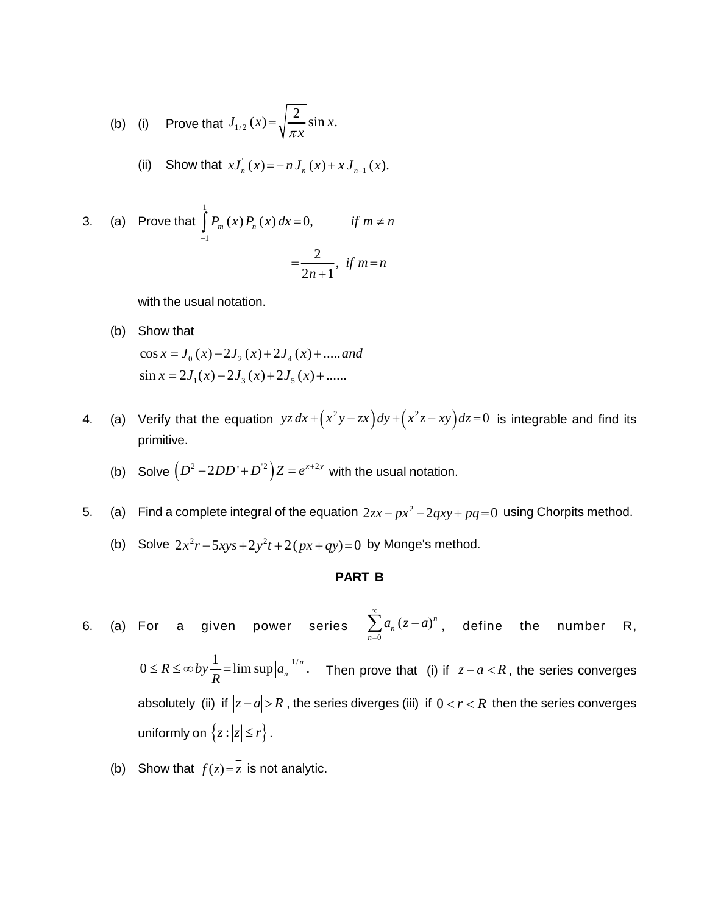(b) (i) Prove that 
$$
J_{1/2}(x) = \sqrt{\frac{2}{\pi x}} \sin x
$$
.

(ii) Show that 
$$
xJ'_n(x) = -nJ_n(x) + xJ_{n-1}(x)
$$
.

3. (a) Prove that 
$$
\int_{-1}^{1} P_m(x) P_n(x) dx = 0, \quad \text{if } m \neq n
$$

$$
= \frac{2}{2n+1}, \text{ if } m = n
$$

with the usual notation.

- (b) Show that  $cos x = J_0(x) - 2J_2(x) + 2J_4(x) + \dots$  and Show that<br>  $\cos x = J_0(x) - 2J_2(x) + 2J_4(x) + \dots$  and<br>  $\sin x = 2J_1(x) - 2J_3(x) + 2J_5(x) + \dots$  $\ddot{ }$  $-2J_2(x)+2J_4(x)+\dots$  and<br> $-2J_3(x)+2J_2(x)+\dots$
- 4. (a) Verify that the equation  $yz dx + (x^2y zx) dy + (x^2z xy) dz = 0$  is integrable and find its primitive. primitive.<br>
(b) Solve  $(D^2 - 2DD' + D^2)Z = e^{x+2y}$  with the usual notation.
	-
- (b) Solve  $(P 2DD + D')Z = e$  with the usual hotation.<br>5. (a) Find a complete integral of the equation  $2zx px^2 2qxy + pq = 0$  using Chorpits method. complete integral of the equation  $2zx - px^2 - 2qxy + pq = 0$ <br> $2x^2r - 5xys + 2y^2t + 2(px + qy) = 0$  by Monge's method.
	- (b) Solve  $2x^2r 5xys + 2y^2t + 2(px+qy)=0$  by Monge's method.

### **PART B**

- 6. (a) For a given power series  $\sum a_n$ 0  $(z-a)^n$  (  $\sum_{n=0}^{\infty} a_n (z-a)^n$ , de or a given power series  $\sum_{n=0}^{\infty} a_n (z-a)^n$ , define the number R,  $0 \le R \le \infty$  *by*  $\frac{1}{R} = \limsup |a_n|^{1/n}$ . T  $\sum_{n=0}^{\infty} \frac{1}{n}$  series  $\sum_{n=0}^{\infty} \frac{1}{n}$ , define the namber is,<br> $\leq \infty$  by  $\frac{1}{n}$  = lim sup  $|a_n|^{1/n}$ . Then prove that (i) if  $|z-a| < R$ , the series converges  $0 \le R \le \infty$  *b*y  $\frac{1}{R}$  =  $\limsup |a_n|$  <sup>*m*</sup>. Then prove that (i) if  $|z-a| < R$ , the series converges<br>absolutely (ii) if  $|z-a| > R$ , the series diverges (iii) if  $0 < r < R$  then the series converges absolutely (ii) if  $|z-a| > R$ , the series diverges (iii) if  $0 < r < R$  then the series converges uniformly on  $\{z : |z| \le r\}$ .
	- (b) Show that  $f(z) = \overline{z}$  is not analytic.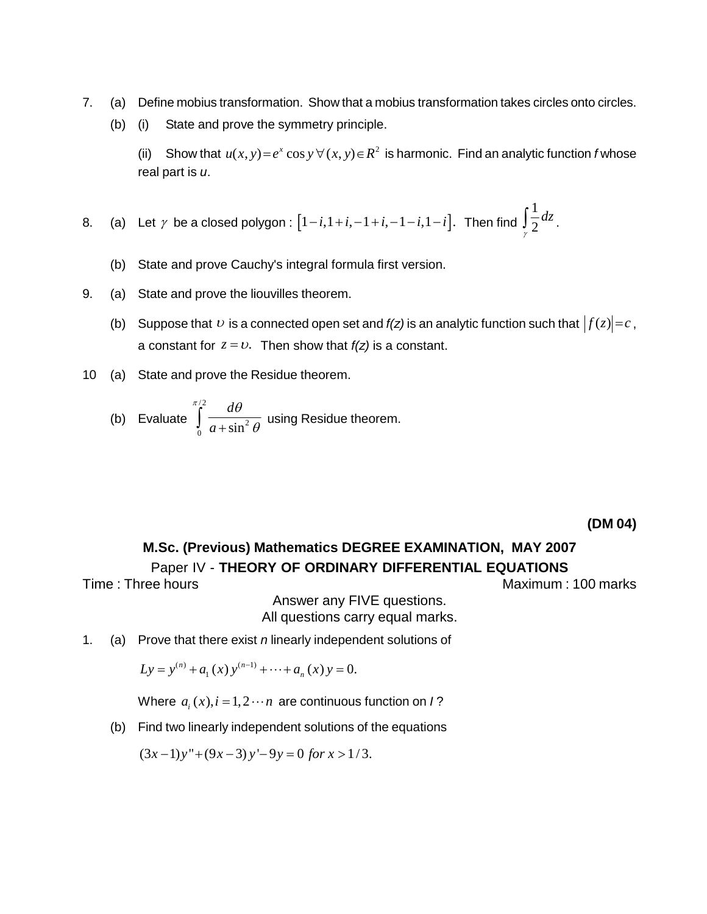- 7. (a) Define mobius transformation. Show that a mobius transformation takes circles onto circles.
	- (b) (i) State and prove the symmetry principle.

(i) State and prove the symmetry principle.<br>(ii) Show that  $u(x, y) = e^x \cos y \,\forall (x, y) \in R^2$  is harmonic. Find an analytic function f whose real part is  $u$ .  $\overline{a}$ 

8. (a) Let 
$$
\gamma
$$
 be a closed polygon :  $[1-i, 1+i, -1+i, -1-i, 1-i]$ . Then find  $\int_{\gamma}^{1} \frac{1}{2} dz$ .

- (b) State and prove Cauchy's integral formula first version.
- 9. (a) State and prove the liouvilles theorem.
- (a) State and prove the liouvilles theorem.<br>(b) Suppose that  $\upsilon$  is a connected open set and *f(z)* is an analytic function such that  $|f(z)| = c$  , Suppose that  $v$  is a connected open set and  $f(z)$  is an analytion<br>a constant for  $z = v$ . Then show that  $f(z)$  is a constant.
- 10 (a) State and prove the Residue theorem.

(b) Evaluate 
$$
\int_{0}^{\pi/2} \frac{d\theta}{a + \sin^2 \theta}
$$
 using Residue theorem.

**(DM 04)**

### **M.Sc. (Previous) Mathematics DEGREE EXAMINATION, MAY 2007** Paper IV - **THEORY OF ORDINARY DIFFERENTIAL EQUATIONS**

Time : Three hours and the matter of the matter of the Maximum : 100 marks

Answer any FIVE questions. All questions carry equal marks.

1. (a) Prove that there exist *n* linearly independent solutions of ve that there exist *n* linearly independent so<br>=  $y^{(n)} + a$ . (x)  $y^{(n-1)} + \cdots + a$  (x)  $y = 0$ .

$$
Ly = y^{(n)} + a_1(x) y^{(n-1)} + \dots + a_n(x) y = 0.
$$

Where  $a_i(x)$ ,  $i = 1,2 \cdots n$  are continuous function on  $I$ ?

(b) Find two linearly independent solutions of the equations<br>  $(3x-1)y'' + (9x-3)y' - 9y = 0$  *for*  $x > 1/3$ .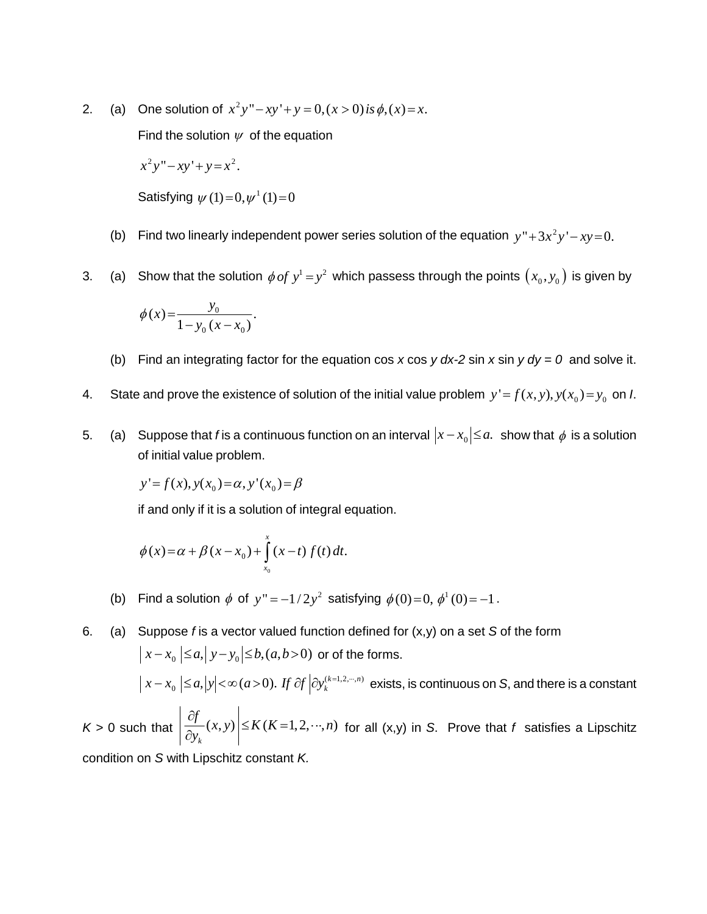2. (a) One solution of  $x^2y'' - xy' + y = 0, (x > 0)$  is  $\phi(x) = x$ .

Find the solution  $\psi$  of the equation<br> $x^2y'' - xy' + y = x^2$ .

$$
x^2y'' - xy' + y = x^2
$$

 $x^2y'' - xy' + y = x^2$ .<br>Satisfying  $\psi(1) = 0, \psi^1(1) = 0$ 

- Satisfying  $\psi$  (1)=0, $\psi$  <sup>\*</sup> (1)=0<br>(b) Find two linearly independent power series solution of the equation  $y$ "+3 $x^2y'$ - $xy$ =0.
- (b) Find two intearly independent power series solution of the equation  $y + 3x$   $y xy = 0$ .<br>3. (a) Show that the solution  $\phi \circ f y^1 = y^2$  which passess through the points  $(x_0, y_0)$  is given by

Show that the solution 
$$
\phi
$$
 of  

$$
\phi(x) = \frac{y_0}{1 - y_0(x - x_0)}.
$$

- (b) Find an integrating factor for the equation cos x cos y dx-2 sin x sin y  $dy = 0$  and solve it.
- 4. State and prove the existence of solution of the initial value problem  $y' = f(x, y)$ ,  $y(x_0) = y_0$  on *I*.
- 5. (a) Suppose that f is a continuous function on an interval  $|x-x_0| \le a$ . show that  $\phi$  is a solution of initial value problem.<br>  $y' = f(x), y(x_0) = \alpha, y'(x_0) = \beta$

$$
y'=f(x), y(x_0) = \alpha, y'(x_0) = \beta
$$

if and only if it is a solution of integral equation.

if and only if it is a solution of integral equa  

$$
\phi(x) = \alpha + \beta(x - x_0) + \int_{x_0}^{x} (x - t) f(t) dt.
$$

(b) Find a solution  $\phi$  of  $y'' = -1/2y^2$  satisfying  $\phi(0) = 0$ ,  $\phi^1(0) = -1$ .

6. (a) Suppose *f* is a vector valued function defined for 
$$
(x,y)
$$
 on a set *S* of the form  
\n
$$
\left| x - x_0 \right| \le a, \left| y - y_0 \right| \le b, (a, b > 0) \text{ or of the forms.}
$$
\n
$$
\left| x - x_0 \right| \le a, \left| y \right| < \infty (a > 0). \text{ If } \partial f \left| \partial y_k^{(k=1,2,\cdots,n)} \right| \text{ exists, is continuous on } S \text{, and there is a constant}
$$
\n
$$
K > 0 \text{ such that } \left| \frac{\partial f}{\partial y_k} (x, y) \right| \le K (K = 1, 2, \cdots, n) \text{ for all } (x, y) \text{ in } S. \text{ Prove that } f \text{ satisfies a Lipschitz condition on } S \text{ with Lipschitz constant } K.
$$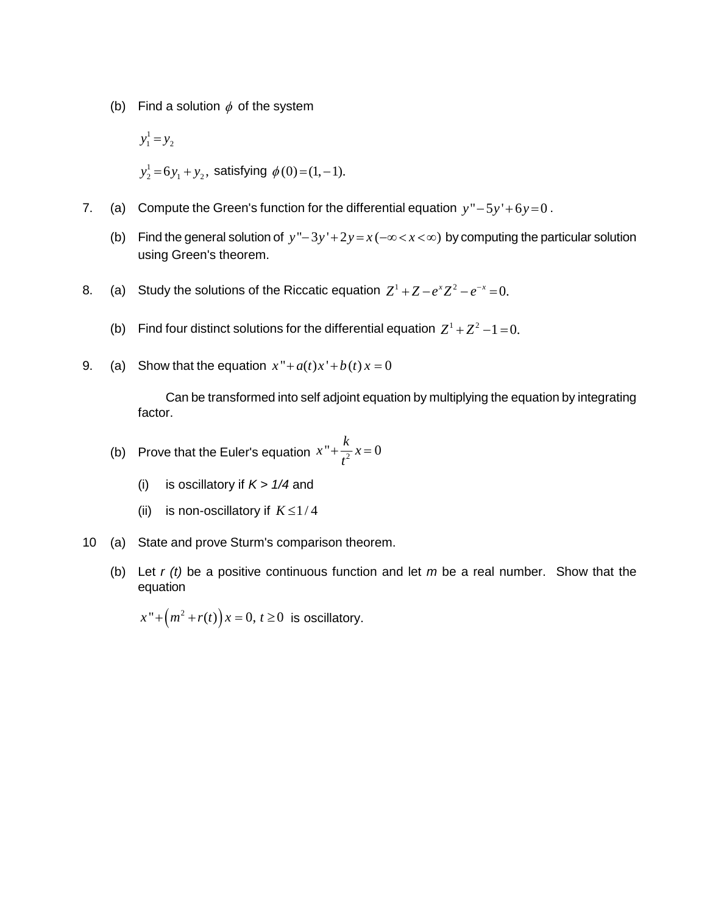(b) Find a solution 
$$
\phi
$$
 of the system  
\n $y_1^1 = y_2$   
\n $y_2^1 = 6y_1 + y_2$ , satisfying  $\phi(0) = (1, -1)$ .

- 7. (a) Compute the Green's function for the differential equation  $y'' 5y' + 6y = 0$ .
	- (b) Find the general solution of  $y'' 3y' + 2y = x(-\infty < x < \infty)$  by computing the particular solution using Green's theorem.
- using Green's theorem.<br>8. (a) Study the solutions of the Riccatic equation  $Z^1 + Z e^x Z^2 e^{-x} = 0$ .
	- (a) Study the solutions of the Riccatic equation  $Z^+ + Z e^+Z^- e^- = 0$ .<br>
	(b) Find four distinct solutions for the differential equation  $Z^1 + Z^2 1 = 0$ .
- 9. (a) Show that the equation  $x'' + a(t)x' + b(t)x = 0$

Can be transformed into self adjoint equation by multiplying the equation by integrating factor.  $= 0$ 

(b) Prove that the Euler's equation 
$$
x'' + \frac{k}{t^2}x = 0
$$

- (i) is oscillatory if  $K > 1/4$  and
- (ii) is non-oscillatory if  $K \leq 1/4$
- 10 (a) State and prove Sturm's comparison theorem.
	- (b) Let  $r(t)$  be a positive continuous function and let  $m$  be a real number. Show that the equation equation<br> $x'' + (m^2 + r(t))x = 0, t \ge 0$  is oscillatory.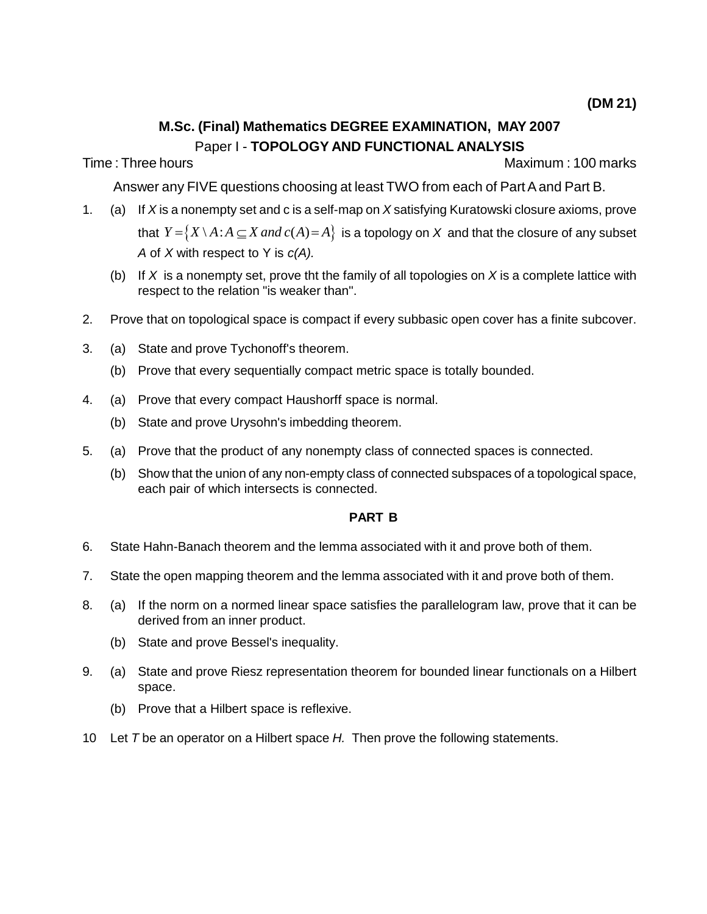## **M.Sc. (Final) Mathematics DEGREE EXAMINATION, MAY 2007** Paper I - **TOPOLOGY AND FUNCTIONAL ANALYSIS**

Time : Three hours Maximum : 100 marks

Answer any FIVE questions choosing at least TWO from each of Part A and Part B.

- 1. (a) If X is a nonempty set and c is a self-map on X satisfying Kuratowski closure axioms, prove that  $Y = \{ X \setminus A : A \subseteq X \text{ and } c(A) = A \}$  is a topology on X and that the closure of any subset A of X with respect to Y is  $c(A)$ .
	- (b) If X is a nonempty set, prove tht the family of all topologies on X is a complete lattice with respect to the relation "is weaker than".
- 2. Prove that on topological space is compact if every subbasic open cover has a finite subcover.
- 3. (a) State and prove Tychonoff's theorem.
	- (b) Prove that every sequentially compact metric space is totally bounded.
- 4. (a) Prove that every compact Haushorff space is normal.
	- (b) State and prove Urysohn's imbedding theorem.
- 5. (a) Prove that the product of any nonempty class of connected spaces is connected.
	- (b) Show that the union of any non-empty class of connected subspaces of a topological space, each pair of which intersects is connected.

### **PART B**

- 6. State Hahn-Banach theorem and the lemma associated with it and prove both of them.
- 7. State the open mapping theorem and the lemma associated with it and prove both of them.
- 8. (a) If the norm on a normed linear space satisfies the parallelogram law, prove that it can be derived from an inner product.
	- (b) State and prove Bessel's inequality.
- 9. (a) State and prove Riesz representation theorem for bounded linear functionals on a Hilbert space.
	- (b) Prove that a Hilbert space is reflexive.
- 10 Let T be an operator on a Hilbert space  $H$ . Then prove the following statements.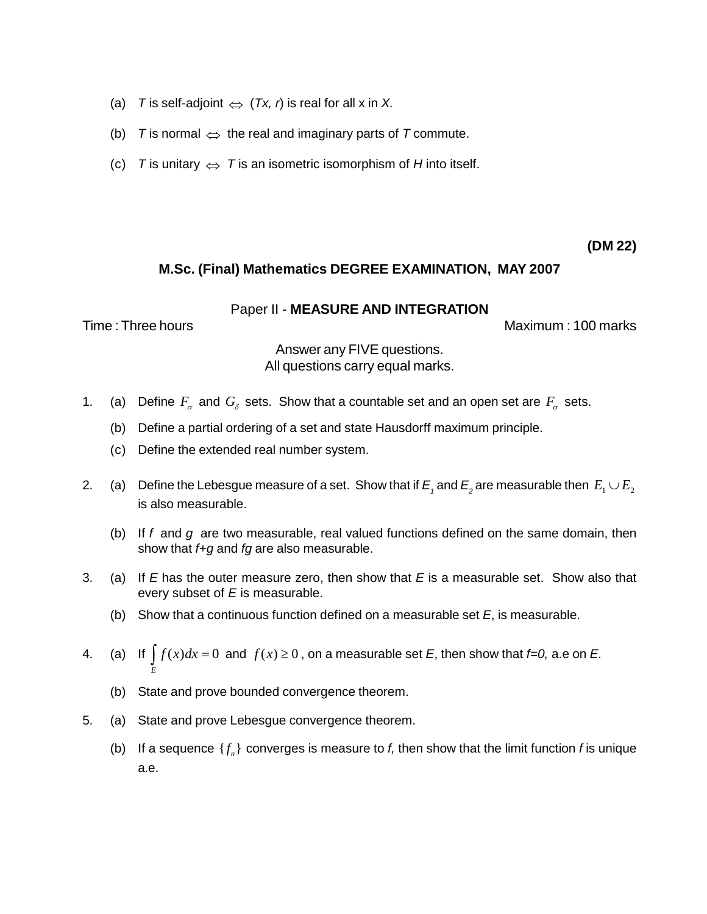- (a) T is self-adjoint  $\Leftrightarrow$   $(Tx, r)$  is real for all x in X.
- (a) T is self-adjoint  $\Leftrightarrow$   $(Tx, r)$  is real for all x in X.<br>(b) T is normal  $\Leftrightarrow$  the real and imaginary parts of T commute. (b) T is normal  $\Leftrightarrow$  the real and imaginary parts of T commute.<br>(c) T is unitary  $\Leftrightarrow$  T is an isometric isomorphism of H into itself.
- 

**(DM 22)**

### **M.Sc. (Final) Mathematics DEGREE EXAMINATION, MAY 2007**

Paper II - **MEASURE AND INTEGRATION**

Time : Three hours Maximum : 100 marks

## Answer any FIVE questions. All questions carry equal marks.

- 1. (a) Define  $F_{\sigma}$  and  $G_{\delta}$  sets. Show that a countable set and an open set are  $F_{\sigma}$  sets.
	- (b) Define a partial ordering of a set and state Hausdorff maximum principle.
	- (c) Define the extended real number system.
- 2. (a) Define the Lebesgue measure of a set. Show that if  $E_1$  and  $E_2$  are measurable then  $E_1 \cup E_2$ is also measurable.
	- (b) If f and  $g$  are two measurable, real valued functions defined on the same domain, then show that  $f+g$  and  $fg$  are also measurable.
- 3. (a) If  $E$  has the outer measure zero, then show that  $E$  is a measurable set. Show also that every subset of  $E$  is measurable.
	- (b) Show that a continuous function defined on a measurable set  $E$ , is measurable.
- (b) Show that a continuous function defined on a measurable set *E*, is measurable.<br>
4. (a) If  $\int f(x)dx = 0$  and  $f(x) \ge 0$ , on a measurable set *E*, then show that *f=0*, a.e on *E*. *E*
	- (b) State and prove bounded convergence theorem.
- 5. (a) State and prove Lebesgue convergence theorem.
	- (b) If a sequence  $\{f_n\}$  converges is measure to  $f$ , then show that the limit function  $f$  is unique a.e.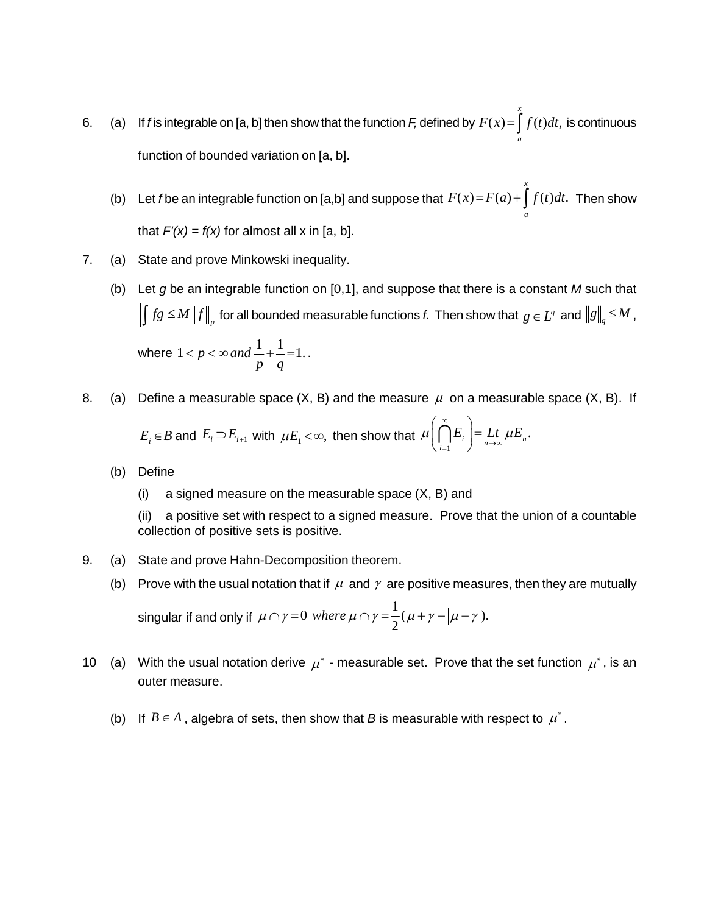- 6. (a) If f is integrable on [a, b] then show that the function F, defined by  $F(x) = | f(t) dt$ , is consident *x*  $F(x) = \int_{a}^{x} f(t)dt$ , is co is continuous function of bounded variation on [a, b].
	- (b) Let f be an integrable function on [a,b] and suppose that  $F(x) = F(a) + | f(t) dt$ . The  $F(x) = F(a) + \int_{a}^{x} f(t)dt$ . Then show that  $F'(x) = f(x)$  for almost all x in [a, b].

*x*

- 7. (a) State and prove Minkowski inequality.
	- (b) Let g be an integrable function on  $[0,1]$ , and suppose that there is a constant M such that  $\int f g \leq M \left\| f \right\|_p$  for all bounded measurable functions *f*. Then show that  $g \in L^q$  and  $\left\| g \right\|_q \leq M$  ,

where  $1 < p < \infty$  and  $\frac{1}{p} + \frac{1}{q} = 1$ ..  $\left. \begin{array}{l l} \n\frac{1}{p} \text{ for all bounded measure} \ \n\alpha & \alpha \n\end{array} \right. \times \alpha \text{ and } \frac{1}{1} + \frac{1}{1} = 1 \,.$ 

8. (a) Define a measurable space (X, B) and the measure 
$$
\mu
$$
 on a measurable space (X, B). If  $E_i \in B$  and  $E_i \supset E_{i+1}$  with  $\mu E_i < \infty$ , then show that  $\mu \left( \bigcap_{i=1}^{\infty} E_i \right) = \lim_{n \to \infty} \mu E_n$ .

- (b) Define
	- (i) a signed measure on the measurable space  $(X, B)$  and

(ii) a positive set with respect to a signed measure. Prove that the union of a countable collection of positive sets is positive.

- 9. (a) State and prove Hahn-Decomposition theorem.
	-

(b) Prove with the usual notation that if 
$$
\mu
$$
 and  $\gamma$  are positive measures, then they are mutually singular if and only if  $\mu \cap \gamma = 0$  where  $\mu \cap \gamma = \frac{1}{2}(\mu + \gamma - |\mu - \gamma|)$ .

- 10 (a) With the usual notation derive  $\mu^*$  measurable set. Prove that the set function  $\mu^*$ , is an outer measure.
	- outer measure.<br>(b) If  $B\in A$  , algebra of sets, then show that *B* is measurable with respect to  $\mu^*$  .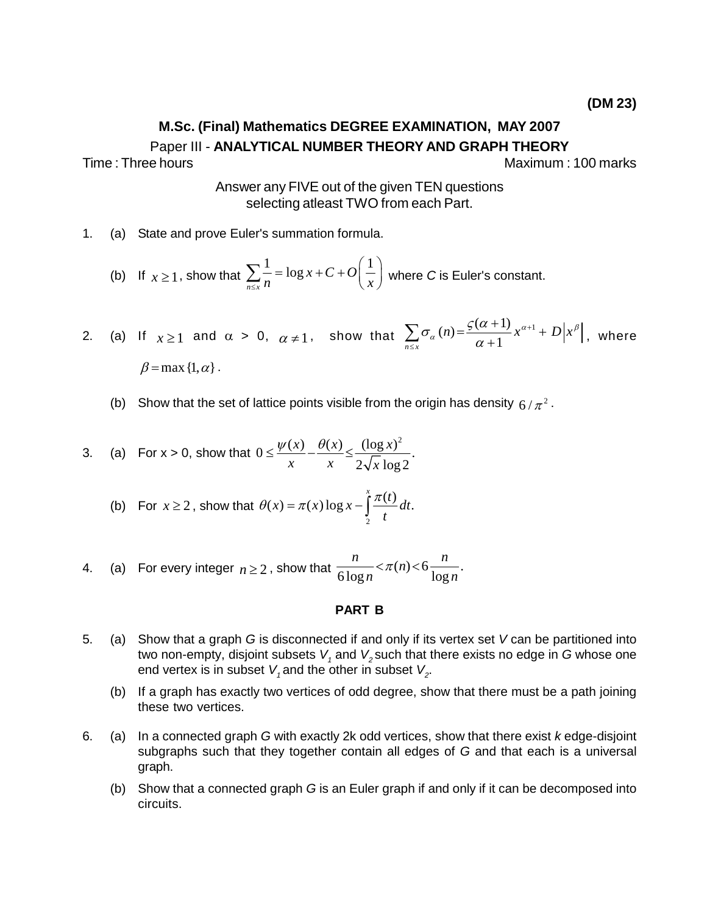# **M.Sc. (Final) Mathematics DEGREE EXAMINATION, MAY 2007** Paper III - **ANALYTICAL NUMBER THEORY AND GRAPH THEORY**

Time : Three hours Maximum : 100 marks

Answer any FIVE out of the given TEN questions selecting atleast TWO from each Part.

1. (a) State and prove Euler's summation formula.

(b) If  $x \ge 1$ , show that  $\sum_{n=1}^{\infty}$  $\sum_{n \leq x} \frac{1}{n}$  =  $\log x$  +  $C$  +  $O\left(\frac{1}{x}\right)$  where  $\theta$  $n \begin{pmatrix} x \end{pmatrix}$  where summation formula.<br>=  $\log x + C + O\left(\frac{1}{2}\right)$  where ler's summation formula.<br> $\sum_{n \le x} \frac{1}{n} = \log x + C + O\left(\frac{1}{x}\right)$  where *C* is Euler's constant.

2. (a) If  $x \ge 1$  and  $\alpha > 0$ ,  $\alpha \ne 1$ , show that  $\sum \sigma$  $(n) = \frac{\varsigma(\alpha+1)}{1} x^{\alpha+1} + D$  $\sum_{n \leq x} a^{n}$   $\alpha + 1$  $\sigma_{\alpha}(n) = \frac{\mathcal{G}(\alpha+1)}{n} x^{\alpha+1} + D|x^{\beta}|$ , where  $\alpha + 1$  $\sum_{n=0}^{\infty}$   $(0.5)(a+1)$   $(a+1)$  $a) = \frac{\varsigma(\alpha+1)}{\alpha+1} x^{\alpha+1} + D|x^{\beta}|,$ ere C is Euler's constant.<br>  $\sum_{\alpha \in \mathbb{Z}} \sigma_{\alpha}(n) = \frac{\mathcal{G}(\alpha+1)}{\alpha+1} x^{\alpha+1} + D\left|x^{\beta}\right|, \text{ where}$ If  $x \ge 1$  and  $\alpha > \beta = \max\{1, \alpha\}.$ 

(b) Show that the set of lattice points visible from the origin has density  $6/\pi^2$  .

3. (a) For 
$$
x > 0
$$
, show that  $0 \le \frac{\psi(x)}{x} - \frac{\theta(x)}{x} \le \frac{(\log x)^2}{2\sqrt{x} \log 2}$ .  
\n(b) For  $x \ge 2$ , show that  $\theta(x) = \pi(x) \log x - \int_0^x \frac{\pi(t)}{t} dt$ .

(b) For 
$$
x \ge 2
$$
, show that  $\theta(x) = \pi(x) \log x - \int_{2}^{x} \frac{\pi(t)}{t} dt$ .

4. (a) For every integer 
$$
n \ge 2
$$
, show that  $\frac{n}{6 \log n} < \pi(n) < 6 \frac{n}{\log n}$ .

### **PART B**

- 5. (a) Show that a graph G is disconnected if and only if its vertex set  $V$  can be partitioned into two non-empty, disjoint subsets  $V_1$  and  $V_2$  such that there exists no edge in G whose one end vertex is in subset  $V_{\scriptscriptstyle 7}$  and the other in subset  $V_{\scriptscriptstyle 2}$ .
	- (b) If a graph has exactly two vertices of odd degree, show that there must be a path joining these two vertices.
- 6. (a) In a connected graph G with exactly 2k odd vertices, show that there exist  $k$  edge-disjoint subgraphs such that they together contain all edges of  $G$  and that each is a universal graph.
	- (b) Show that a connected graph G is an Euler graph if and only if it can be decomposed into circuits.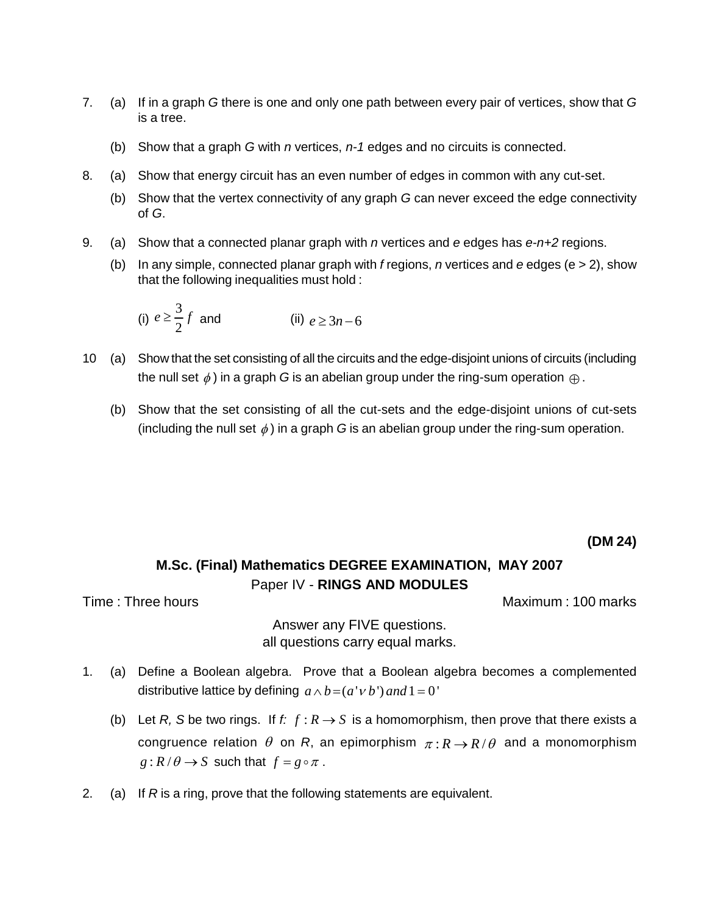- 7. (a) If in a graph G there is one and only one path between every pair of vertices, show that G is a tree.
	- (b) Show that a graph G with  $n$  vertices,  $n-1$  edges and no circuits is connected.
- 8. (a) Show that energy circuit has an even number of edges in common with any cut-set.
	- (b) Show that the vertex connectivity of any graph G can never exceed the edge connectivity of G.
- 9. (a) Show that a connected planar graph with n vertices and e edges has  $e^{-n+2}$  regions.
	- (b) In any simple, connected planar graph with f regions, *n* vertices and e edges (e  $>$  2), show

that the following inequalities must hold :  
\n(i) 
$$
e \ge \frac{3}{2}f
$$
 and   
\n(ii)  $e \ge 3n-6$ 

- 10 (a) Show that the set consisting of all the circuits and the edge-disjoint unions of circuits (including Show that the set consisting of all the circuits and the edge-disjoint unions of circuits (includ<br>the null set  $\phi$  ) in a graph G is an abelian group under the ring-sum operation  $\oplus$  .
	- (b) Show that the set consisting of all the cut-sets and the edge-disjoint unions of cut-sets (including the null set  $\phi$ ) in a graph G is an abelian group under the ring-sum operation.

**(DM 24)**

# **M.Sc. (Final) Mathematics DEGREE EXAMINATION, MAY 2007** Paper IV - **RINGS AND MODULES**

Time : Three hours Maximum : 100 marks

Answer any FIVE questions. all questions carry equal marks.

- 1. (a) Define a Boolean algebra. Prove that a Boolean algebra becomes a complemented distributive lattice by defining  $a \wedge b = (a' \vee b')$  *and*  $1 = 0'$ distributive lattice by defining  $a \wedge b = (a'v b')$  and  $1 = 0'$ <br>(b) Let *R*, *S* be two rings. If *f:*  $f : R \rightarrow S$  is a homomorphism, then prove that there exists a
- Let *R, S* be two rings. If  $f: f: R \to S$  is a homomorphism, then prove that there exists a<br>congruence relation  $\theta$  on *R*, an epimorphism  $\pi: R \to R/\theta$  and a monomorphism *g* :  $R/\theta \rightarrow S$  such that  $f = g \circ \pi$ .<br>
2. (a) If R is a ring, prove that the following statements are equivalent.
-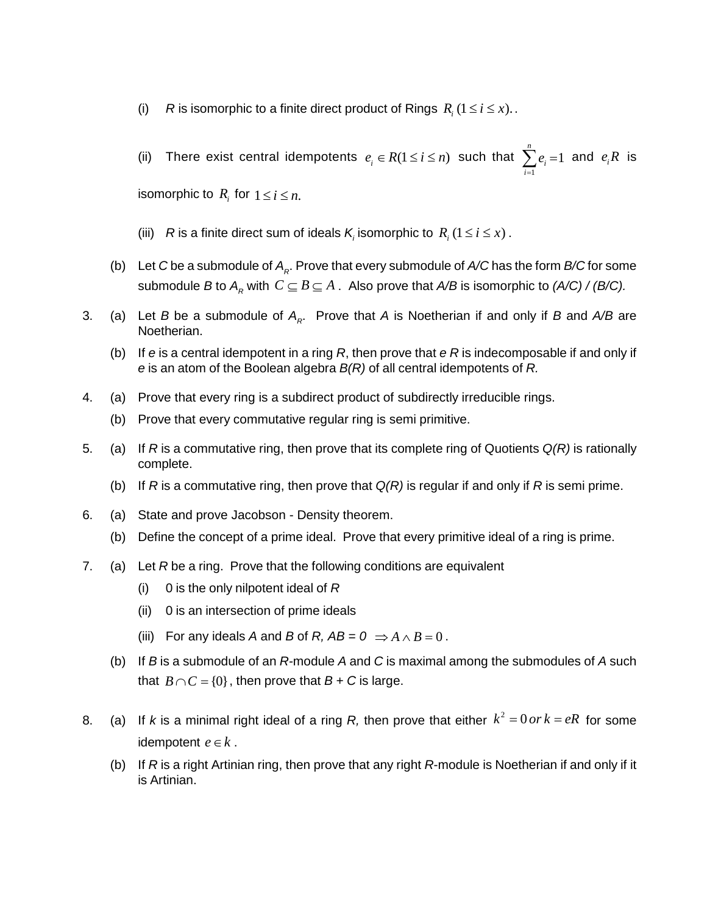- (i) R is isomorphic to a finite direct product of Rings  $R_i$   $(1 \le i \le x)$ .
- (ii) There exist central idempotents  $e_i \in R(1 \leq i \leq n)$  such that  $\sum_{i=1}^{n}$ 1 1 and  $e_i$ *n i i*  $\sum^n e_i = 1$  and  $e_i R$  is (ii) There exist central idempoter<br>isomorphic to  $R_i$  for  $1 \leq i \leq n$ .

- isomorphic to  $R_i$  for  $1 \le i \le n$ .<br>(iii)  $R$  is a finite direct sum of ideals  $K_i$  isomorphic to  $R_i$  ( $1 \le i \le x$ ) .
- (b) Let C be a submodule of  $A_{\kappa}$ . Prove that every submodule of A/C has the form B/C for some submodule B to  $A_R$  with  $C \subseteq B \subseteq A$ . Also prove that  $A/B$  is isomorphic to  $(A/C) / (B/C)$ .
- 3. (a) Let B be a submodule of  $A_{\kappa}$ . Prove that A is Noetherian if and only if B and A/B are Noetherian.
	- (b) If e is a central idempotent in a ring R, then prove that  $eR$  is indecomposable if and only if e is an atom of the Boolean algebra  $B(R)$  of all central idempotents of R.
- 4. (a) Prove that every ring is a subdirect product of subdirectly irreducible rings.
	- (b) Prove that every commutative regular ring is semi primitive.
- 5. (a) If R is a commutative ring, then prove that its complete ring of Quotients  $Q(R)$  is rationally complete.
	- (b) If R is a commutative ring, then prove that  $Q(R)$  is regular if and only if R is semi prime.
- 6. (a) State and prove Jacobson Density theorem.
	- (b) Define the concept of a prime ideal. Prove that every primitive ideal of a ring is prime.
- 7. (a) Let R be a ring. Prove that the following conditions are equivalent
	- (i) 0 is the only nilpotent ideal of  $R$
	- (ii) 0 is an intersection of prime ideals
	- (iii) For any ideals A and B of R,  $AB = 0 \Rightarrow A \wedge B = 0$ .
	- (b) If  $B$  is a submodule of an  $R$ -module  $A$  and  $C$  is maximal among the submodules of  $A$  such If *B* is a submodule of an *R*-module *A* and *C* is maximited  $B \cap C = \{0\}$ , then prove that  $B + C$  is large.
- that  $B \cap C = \{0\}$ , then prove that  $B + C$  is large.<br>8. (a) If *k* is a minimal right ideal of a ring *R*, then prove that either  $k^2 = 0$  or  $k = eR$  for some If *k* is a minimal right ide<br>idempotent  $e \in k$  .
	- (b) If R is a right Artinian ring, then prove that any right R-module is Noetherian if and only if it is Artinian.